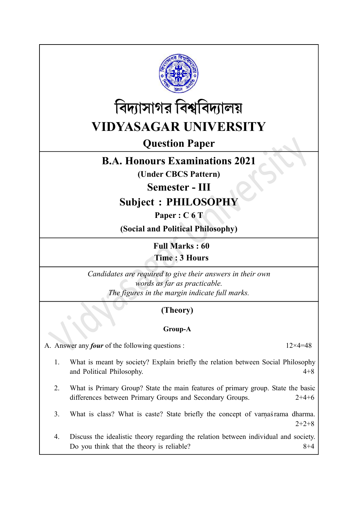



Question Paper

## B.A. Honours Examinations 2021

(Under CBCS Pattern)

Semester - III

Subject : PHILOSOPHY

Paper : C 6 T

(Social and Political Philosophy)

Full Marks : 60 Time : 3 Hours

Candidates are required to give their answers in their own words as far as practicable. The figures in the margin indicate full marks.

## (Theory)

## Group-A

A. Answer any *four* of the following questions :  $12 \times 4 = 48$ 

- 1. What is meant by society? Explain briefly the relation between Social Philosophy and Political Philosophy. 4+8
- 2. What is Primary Group? State the main features of primary group. State the basic differences between Primary Groups and Secondary Groups. 2+4+6
- 3. What is class? What is caste? State briefly the concept of varnas rama dharma.  $2+2+8$
- 4. Discuss the idealistic theory regarding the relation between individual and society. Do you think that the theory is reliable?  $8+4$